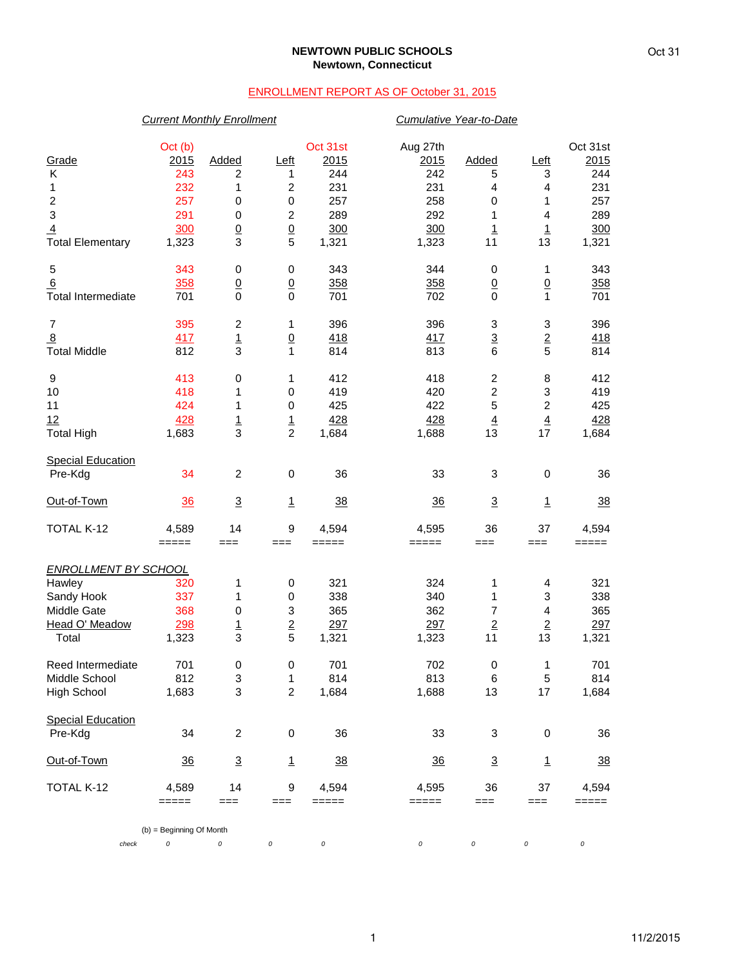## **NEWTOWN PUBLIC SCHOOLS Newtown, Connecticut**

## ENROLLMENT REPORT AS OF October 31, 2015

|                             | <b>Current Monthly Enrollment</b> |                  |                           |                |                | Cumulative Year-to-Date   |                           |                |
|-----------------------------|-----------------------------------|------------------|---------------------------|----------------|----------------|---------------------------|---------------------------|----------------|
|                             | Oct (b)                           |                  |                           | Oct 31st       | Aug 27th       |                           |                           | Oct 31st       |
| Grade                       | 2015                              | Added            | <u>Left</u>               | 2015           | 2015           | Added                     | Left                      | 2015           |
| Κ                           | 243                               | $\overline{c}$   | 1                         | 244            | 242            | 5                         | 3                         | 244            |
| 1                           | 232                               | 1                | $\boldsymbol{2}$          | 231            | 231            | 4                         | 4                         | 231            |
| $\boldsymbol{2}$            | 257                               | 0                | $\,0\,$                   | 257            | 258            | $\mathbf 0$               | 1                         | 257            |
| 3                           | 291                               | $\boldsymbol{0}$ | $\overline{c}$            | 289            | 292            | 1                         | 4                         | 289            |
| $\overline{4}$              | 300                               | $\underline{0}$  | $\underline{0}$           | 300            | 300            | $\overline{1}$            | $\overline{1}$            | 300            |
| <b>Total Elementary</b>     | 1,323                             | 3                | 5                         | 1,321          | 1,323          | 11                        | 13                        | 1,321          |
|                             |                                   |                  |                           |                |                |                           |                           |                |
| 5                           | 343                               | 0                | $\,0\,$                   | 343            | 344            | 0                         | 1                         | 343            |
| 6                           | 358                               | $\overline{0}$   | $\underline{0}$           | 358            | 358            | $\underline{0}$           | $\overline{0}$            | 358            |
| <b>Total Intermediate</b>   | 701                               | 0                | $\mathbf 0$               | 701            | 702            | $\Omega$                  | $\mathbf{1}$              | 701            |
| $\overline{7}$              | 395                               | $\mathbf 2$      | 1                         | 396            | 396            | $\ensuremath{\mathsf{3}}$ | $\ensuremath{\mathsf{3}}$ | 396            |
| $\overline{8}$              | 417                               | $\overline{1}$   | $\underline{0}$           | 418            | 417            | $\underline{3}$           | $\underline{\mathbf{2}}$  | <u>418</u>     |
| <b>Total Middle</b>         | 812                               | 3                | $\mathbf{1}$              | 814            | 813            | $\,6$                     | 5                         | 814            |
| 9                           | 413                               | 0                | 1                         | 412            | 418            | $\overline{\mathbf{c}}$   | 8                         | 412            |
| 10                          | 418                               | 1                | 0                         | 419            | 420            | $\overline{c}$            | 3                         | 419            |
| 11                          | 424                               | 1                | 0                         | 425            | 422            | 5                         | $\boldsymbol{2}$          | 425            |
| 12                          | 428                               |                  |                           | 428            | 428            | $\overline{4}$            | $\overline{4}$            | 428            |
| <b>Total High</b>           | 1,683                             | $\frac{1}{3}$    | $\frac{1}{2}$             | 1,684          | 1,688          | 13                        | 17                        | 1,684          |
|                             |                                   |                  |                           |                |                |                           |                           |                |
| <b>Special Education</b>    |                                   |                  |                           |                |                |                           |                           |                |
| Pre-Kdg                     | 34                                | $\overline{c}$   | 0                         | 36             | 33             | 3                         | $\mathbf 0$               | 36             |
| Out-of-Town                 | 36                                | $\overline{3}$   | $\mathbf{1}$              | 38             | 36             | $\overline{3}$            | $\overline{1}$            | 38             |
| TOTAL K-12                  | 4,589                             | 14               | $\boldsymbol{9}$          | 4,594          | 4,595          | 36                        | 37                        | 4,594          |
|                             | $=====$                           | $==$             | $==$                      | $=====$        | =====          | $==$                      | $==$                      | =====          |
| <b>ENROLLMENT BY SCHOOL</b> |                                   |                  |                           |                |                |                           |                           |                |
| Hawley                      | 320                               | 1                | $\,0\,$                   | 321            | 324            | 1                         | 4                         | 321            |
| Sandy Hook                  | 337                               | 1                | 0                         | 338            | 340            | 1                         | 3                         | 338            |
| Middle Gate                 | 368                               | 0                | $\ensuremath{\mathsf{3}}$ | 365            | 362            | 7                         | $\overline{\mathbf{4}}$   | 365            |
| Head O' Meadow              | 298                               | $\overline{1}$   |                           | 297            | 297            | $\overline{2}$            | $\overline{2}$            | 297            |
| Total                       | 1,323                             | 3                | $\frac{2}{5}$             | 1,321          | 1,323          | 11                        | 13                        | 1,321          |
|                             |                                   |                  |                           |                |                |                           |                           |                |
| Reed Intermediate           | 701                               | 0                | 0                         | 701            | 702            | $\pmb{0}$                 | 1                         | 701            |
| Middle School               | 812                               | 3                | 1                         | 814            | 813            | 6                         | 5                         | 814            |
| High School                 | 1,683                             | 3                | $\overline{c}$            | 1,684          | 1,688          | 13                        | 17                        | 1,684          |
| <b>Special Education</b>    |                                   |                  |                           |                |                |                           |                           |                |
| Pre-Kdg                     | 34                                | $\overline{c}$   | $\mathbf 0$               | 36             | 33             | 3                         | 0                         | 36             |
| Out-of-Town                 | $\frac{36}{5}$                    | $\overline{3}$   | $\overline{1}$            | $\frac{38}{5}$ | $\frac{36}{5}$ | $\overline{3}$            | $\overline{1}$            | $\frac{38}{5}$ |
| TOTAL K-12                  | 4,589                             | 14               | 9                         | 4,594          | 4,595          | 36                        | 37                        | 4,594          |
|                             | =====                             | ===              | ===                       | $=====$        | =====          | ===                       | ===                       | =====          |
|                             | (b) = Beginning Of Month          |                  |                           |                |                |                           |                           |                |
| check                       | 0                                 | 0                | 0                         | 0              | 0              | 0                         | 0                         | 0              |